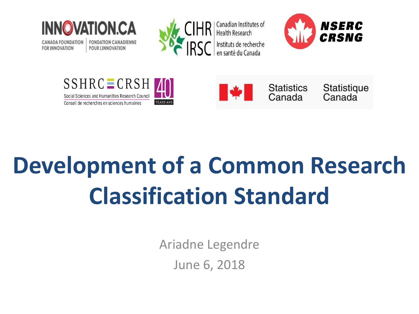

**CANADA FOUNDATION FOR INNOVATION** 

**FONDATION CANADIENNE POUR L'INNOVATION** 



Canadian Institutes of **Health Research** Instituts de recherche en santé du Canada







**Statistics** Canada

Statistique Canada

# **Development of a Common Research Classification Standard**

Ariadne Legendre June 6, 2018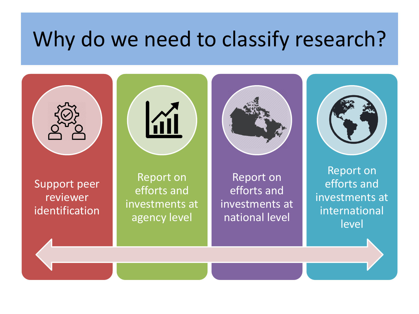#### Why do we need to classify research?

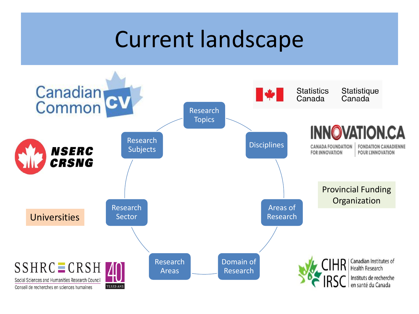### Current landscape

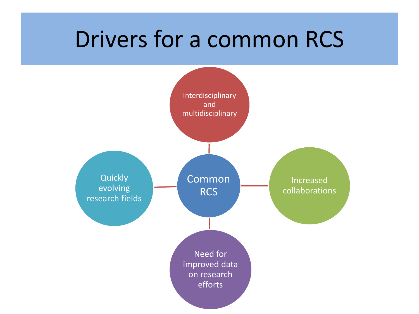#### Drivers for a common RCS

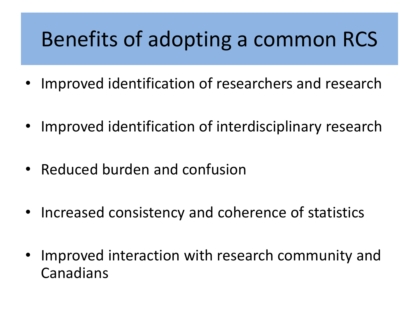#### Benefits of adopting a common RCS

- Improved identification of researchers and research
- Improved identification of interdisciplinary research
- Reduced burden and confusion
- Increased consistency and coherence of statistics
- Improved interaction with research community and Canadians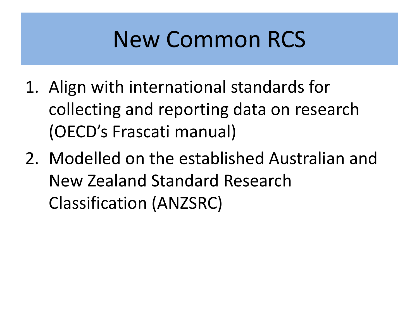# New Common RCS

- 1. Align with international standards for collecting and reporting data on research (OECD's Frascati manual)
- 2. Modelled on the established Australian and New Zealand Standard Research Classification (ANZSRC)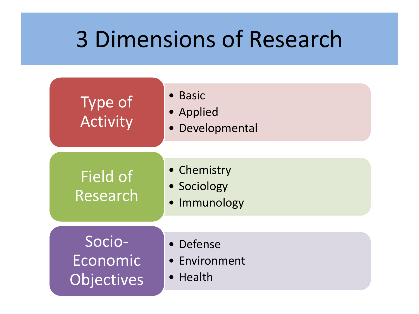## 3 Dimensions of Research

| <b>Type of</b><br><b>Activity</b>       | • Basic<br>• Applied<br>· Developmental    |
|-----------------------------------------|--------------------------------------------|
| Field of<br>Research                    | • Chemistry<br>• Sociology<br>· Immunology |
| Socio-<br>Economic<br><b>Objectives</b> | • Defense<br>• Environment<br>• Health     |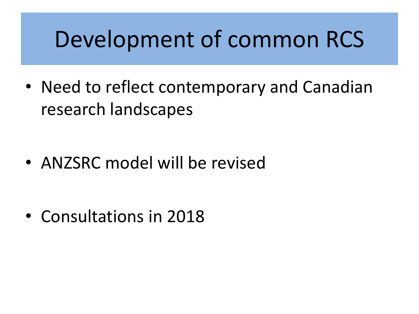## Development of common RCS

• Need to reflect contemporary and Canadian research landscapes

• ANZSRC model will be revised

• Consultations in 2018